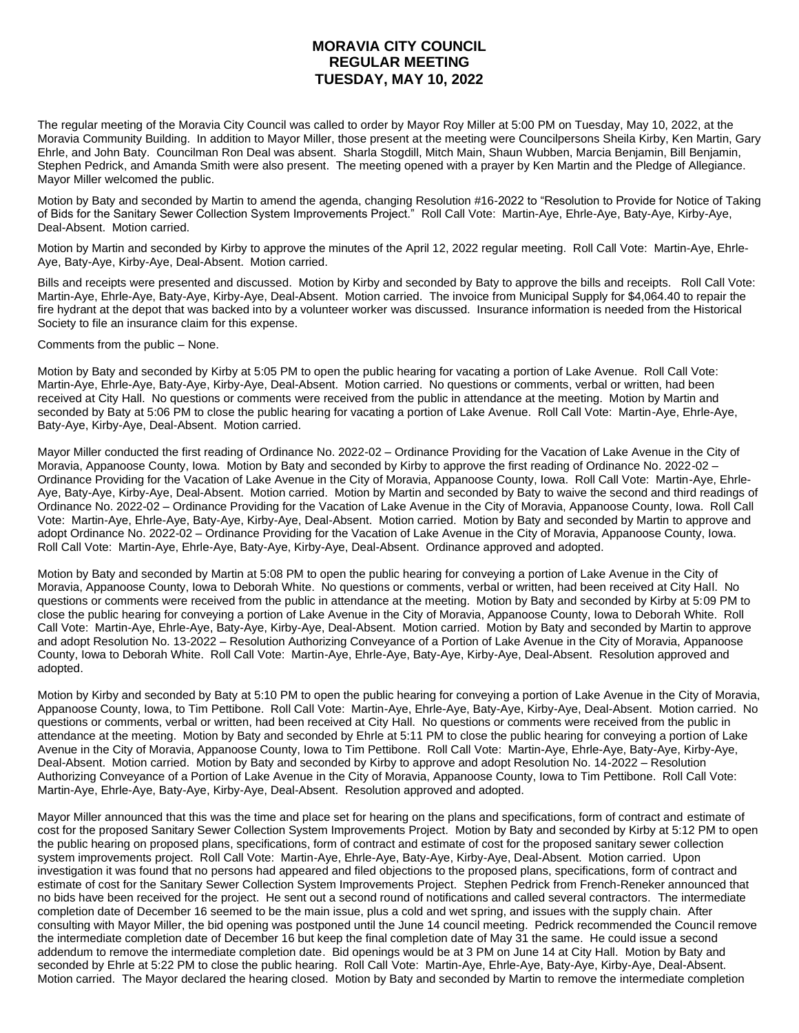## **MORAVIA CITY COUNCIL REGULAR MEETING TUESDAY, MAY 10, 2022**

The regular meeting of the Moravia City Council was called to order by Mayor Roy Miller at 5:00 PM on Tuesday, May 10, 2022, at the Moravia Community Building. In addition to Mayor Miller, those present at the meeting were Councilpersons Sheila Kirby, Ken Martin, Gary Ehrle, and John Baty. Councilman Ron Deal was absent. Sharla Stogdill, Mitch Main, Shaun Wubben, Marcia Benjamin, Bill Benjamin, Stephen Pedrick, and Amanda Smith were also present. The meeting opened with a prayer by Ken Martin and the Pledge of Allegiance. Mayor Miller welcomed the public.

Motion by Baty and seconded by Martin to amend the agenda, changing Resolution #16-2022 to "Resolution to Provide for Notice of Taking of Bids for the Sanitary Sewer Collection System Improvements Project." Roll Call Vote: Martin-Aye, Ehrle-Aye, Baty-Aye, Kirby-Aye, Deal-Absent. Motion carried.

Motion by Martin and seconded by Kirby to approve the minutes of the April 12, 2022 regular meeting. Roll Call Vote: Martin-Aye, Ehrle-Aye, Baty-Aye, Kirby-Aye, Deal-Absent. Motion carried.

Bills and receipts were presented and discussed. Motion by Kirby and seconded by Baty to approve the bills and receipts. Roll Call Vote: Martin-Aye, Ehrle-Aye, Baty-Aye, Kirby-Aye, Deal-Absent. Motion carried. The invoice from Municipal Supply for \$4,064.40 to repair the fire hydrant at the depot that was backed into by a volunteer worker was discussed. Insurance information is needed from the Historical Society to file an insurance claim for this expense.

Comments from the public – None.

Motion by Baty and seconded by Kirby at 5:05 PM to open the public hearing for vacating a portion of Lake Avenue. Roll Call Vote: Martin-Aye, Ehrle-Aye, Baty-Aye, Kirby-Aye, Deal-Absent. Motion carried. No questions or comments, verbal or written, had been received at City Hall. No questions or comments were received from the public in attendance at the meeting. Motion by Martin and seconded by Baty at 5:06 PM to close the public hearing for vacating a portion of Lake Avenue. Roll Call Vote: Martin-Aye, Ehrle-Aye, Baty-Aye, Kirby-Aye, Deal-Absent. Motion carried.

Mayor Miller conducted the first reading of Ordinance No. 2022-02 – Ordinance Providing for the Vacation of Lake Avenue in the City of Moravia, Appanoose County, Iowa. Motion by Baty and seconded by Kirby to approve the first reading of Ordinance No. 2022-02 – Ordinance Providing for the Vacation of Lake Avenue in the City of Moravia, Appanoose County, Iowa. Roll Call Vote: Martin-Aye, Ehrle-Aye, Baty-Aye, Kirby-Aye, Deal-Absent. Motion carried. Motion by Martin and seconded by Baty to waive the second and third readings of Ordinance No. 2022-02 – Ordinance Providing for the Vacation of Lake Avenue in the City of Moravia, Appanoose County, Iowa. Roll Call Vote: Martin-Aye, Ehrle-Aye, Baty-Aye, Kirby-Aye, Deal-Absent. Motion carried. Motion by Baty and seconded by Martin to approve and adopt Ordinance No. 2022-02 – Ordinance Providing for the Vacation of Lake Avenue in the City of Moravia, Appanoose County, Iowa. Roll Call Vote: Martin-Aye, Ehrle-Aye, Baty-Aye, Kirby-Aye, Deal-Absent. Ordinance approved and adopted.

Motion by Baty and seconded by Martin at 5:08 PM to open the public hearing for conveying a portion of Lake Avenue in the City of Moravia, Appanoose County, Iowa to Deborah White. No questions or comments, verbal or written, had been received at City Hall. No questions or comments were received from the public in attendance at the meeting. Motion by Baty and seconded by Kirby at 5:09 PM to close the public hearing for conveying a portion of Lake Avenue in the City of Moravia, Appanoose County, Iowa to Deborah White. Roll Call Vote: Martin-Aye, Ehrle-Aye, Baty-Aye, Kirby-Aye, Deal-Absent. Motion carried. Motion by Baty and seconded by Martin to approve and adopt Resolution No. 13-2022 – Resolution Authorizing Conveyance of a Portion of Lake Avenue in the City of Moravia, Appanoose County, Iowa to Deborah White. Roll Call Vote: Martin-Aye, Ehrle-Aye, Baty-Aye, Kirby-Aye, Deal-Absent. Resolution approved and adopted.

Motion by Kirby and seconded by Baty at 5:10 PM to open the public hearing for conveying a portion of Lake Avenue in the City of Moravia, Appanoose County, Iowa, to Tim Pettibone. Roll Call Vote: Martin-Aye, Ehrle-Aye, Baty-Aye, Kirby-Aye, Deal-Absent. Motion carried. No questions or comments, verbal or written, had been received at City Hall. No questions or comments were received from the public in attendance at the meeting. Motion by Baty and seconded by Ehrle at 5:11 PM to close the public hearing for conveying a portion of Lake Avenue in the City of Moravia, Appanoose County, Iowa to Tim Pettibone. Roll Call Vote: Martin-Aye, Ehrle-Aye, Baty-Aye, Kirby-Aye, Deal-Absent. Motion carried. Motion by Baty and seconded by Kirby to approve and adopt Resolution No. 14-2022 – Resolution Authorizing Conveyance of a Portion of Lake Avenue in the City of Moravia, Appanoose County, Iowa to Tim Pettibone. Roll Call Vote: Martin-Aye, Ehrle-Aye, Baty-Aye, Kirby-Aye, Deal-Absent. Resolution approved and adopted.

Mayor Miller announced that this was the time and place set for hearing on the plans and specifications, form of contract and estimate of cost for the proposed Sanitary Sewer Collection System Improvements Project. Motion by Baty and seconded by Kirby at 5:12 PM to open the public hearing on proposed plans, specifications, form of contract and estimate of cost for the proposed sanitary sewer collection system improvements project. Roll Call Vote: Martin-Aye, Ehrle-Aye, Baty-Aye, Kirby-Aye, Deal-Absent. Motion carried. Upon investigation it was found that no persons had appeared and filed objections to the proposed plans, specifications, form of contract and estimate of cost for the Sanitary Sewer Collection System Improvements Project. Stephen Pedrick from French-Reneker announced that no bids have been received for the project. He sent out a second round of notifications and called several contractors. The intermediate completion date of December 16 seemed to be the main issue, plus a cold and wet spring, and issues with the supply chain. After consulting with Mayor Miller, the bid opening was postponed until the June 14 council meeting. Pedrick recommended the Council remove the intermediate completion date of December 16 but keep the final completion date of May 31 the same. He could issue a second addendum to remove the intermediate completion date. Bid openings would be at 3 PM on June 14 at City Hall. Motion by Baty and seconded by Ehrle at 5:22 PM to close the public hearing. Roll Call Vote: Martin-Aye, Ehrle-Aye, Baty-Aye, Kirby-Aye, Deal-Absent. Motion carried. The Mayor declared the hearing closed. Motion by Baty and seconded by Martin to remove the intermediate completion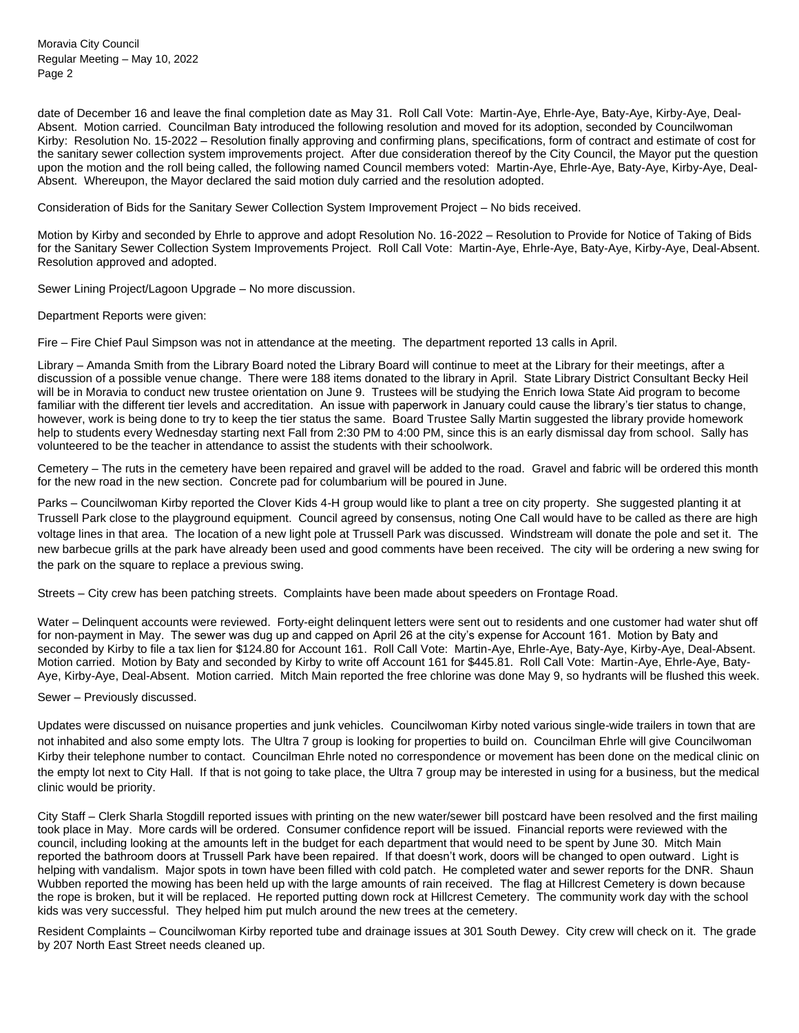Moravia City Council Regular Meeting – May 10, 2022 Page 2

date of December 16 and leave the final completion date as May 31. Roll Call Vote: Martin-Aye, Ehrle-Aye, Baty-Aye, Kirby-Aye, Deal-Absent. Motion carried. Councilman Baty introduced the following resolution and moved for its adoption, seconded by Councilwoman Kirby: Resolution No. 15-2022 – Resolution finally approving and confirming plans, specifications, form of contract and estimate of cost for the sanitary sewer collection system improvements project. After due consideration thereof by the City Council, the Mayor put the question upon the motion and the roll being called, the following named Council members voted: Martin-Aye, Ehrle-Aye, Baty-Aye, Kirby-Aye, Deal-Absent. Whereupon, the Mayor declared the said motion duly carried and the resolution adopted.

Consideration of Bids for the Sanitary Sewer Collection System Improvement Project – No bids received.

Motion by Kirby and seconded by Ehrle to approve and adopt Resolution No. 16-2022 – Resolution to Provide for Notice of Taking of Bids for the Sanitary Sewer Collection System Improvements Project. Roll Call Vote: Martin-Aye, Ehrle-Aye, Baty-Aye, Kirby-Aye, Deal-Absent. Resolution approved and adopted.

Sewer Lining Project/Lagoon Upgrade – No more discussion.

Department Reports were given:

Fire – Fire Chief Paul Simpson was not in attendance at the meeting. The department reported 13 calls in April.

Library – Amanda Smith from the Library Board noted the Library Board will continue to meet at the Library for their meetings, after a discussion of a possible venue change. There were 188 items donated to the library in April. State Library District Consultant Becky Heil will be in Moravia to conduct new trustee orientation on June 9. Trustees will be studying the Enrich Iowa State Aid program to become familiar with the different tier levels and accreditation. An issue with paperwork in January could cause the library's tier status to change, however, work is being done to try to keep the tier status the same. Board Trustee Sally Martin suggested the library provide homework help to students every Wednesday starting next Fall from 2:30 PM to 4:00 PM, since this is an early dismissal day from school. Sally has volunteered to be the teacher in attendance to assist the students with their schoolwork.

Cemetery – The ruts in the cemetery have been repaired and gravel will be added to the road. Gravel and fabric will be ordered this month for the new road in the new section. Concrete pad for columbarium will be poured in June.

Parks – Councilwoman Kirby reported the Clover Kids 4-H group would like to plant a tree on city property. She suggested planting it at Trussell Park close to the playground equipment. Council agreed by consensus, noting One Call would have to be called as there are high voltage lines in that area. The location of a new light pole at Trussell Park was discussed. Windstream will donate the pole and set it. The new barbecue grills at the park have already been used and good comments have been received. The city will be ordering a new swing for the park on the square to replace a previous swing.

Streets – City crew has been patching streets. Complaints have been made about speeders on Frontage Road.

Water – Delinquent accounts were reviewed. Forty-eight delinquent letters were sent out to residents and one customer had water shut off for non-payment in May. The sewer was dug up and capped on April 26 at the city's expense for Account 161. Motion by Baty and seconded by Kirby to file a tax lien for \$124.80 for Account 161. Roll Call Vote: Martin-Aye, Ehrle-Aye, Baty-Aye, Kirby-Aye, Deal-Absent. Motion carried. Motion by Baty and seconded by Kirby to write off Account 161 for \$445.81. Roll Call Vote: Martin-Aye, Ehrle-Aye, Baty-Aye, Kirby-Aye, Deal-Absent. Motion carried. Mitch Main reported the free chlorine was done May 9, so hydrants will be flushed this week.

## Sewer – Previously discussed.

Updates were discussed on nuisance properties and junk vehicles. Councilwoman Kirby noted various single-wide trailers in town that are not inhabited and also some empty lots. The Ultra 7 group is looking for properties to build on. Councilman Ehrle will give Councilwoman Kirby their telephone number to contact. Councilman Ehrle noted no correspondence or movement has been done on the medical clinic on the empty lot next to City Hall. If that is not going to take place, the Ultra 7 group may be interested in using for a business, but the medical clinic would be priority.

City Staff – Clerk Sharla Stogdill reported issues with printing on the new water/sewer bill postcard have been resolved and the first mailing took place in May. More cards will be ordered. Consumer confidence report will be issued. Financial reports were reviewed with the council, including looking at the amounts left in the budget for each department that would need to be spent by June 30. Mitch Main reported the bathroom doors at Trussell Park have been repaired. If that doesn't work, doors will be changed to open outward. Light is helping with vandalism. Major spots in town have been filled with cold patch. He completed water and sewer reports for the DNR. Shaun Wubben reported the mowing has been held up with the large amounts of rain received. The flag at Hillcrest Cemetery is down because the rope is broken, but it will be replaced. He reported putting down rock at Hillcrest Cemetery. The community work day with the school kids was very successful. They helped him put mulch around the new trees at the cemetery.

Resident Complaints – Councilwoman Kirby reported tube and drainage issues at 301 South Dewey. City crew will check on it. The grade by 207 North East Street needs cleaned up.